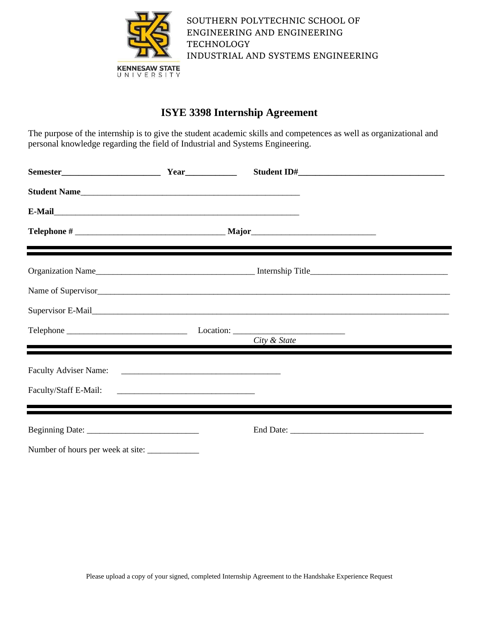

SOUTHERN POLYTECHNIC SCHOOL OF ENGINEERING AND ENGINEERING **TECHNOLOGY** INDUSTRIAL AND SYSTEMS ENGINEERING

# **ISYE 3398 Internship Agreement**

The purpose of the internship is to give the student academic skills and competences as well as organizational and personal knowledge regarding the field of Industrial and Systems Engineering.

| Student Name |              |  |
|--------------|--------------|--|
|              |              |  |
|              |              |  |
|              |              |  |
|              |              |  |
|              |              |  |
|              | City & State |  |
|              |              |  |
|              |              |  |
|              |              |  |
|              |              |  |